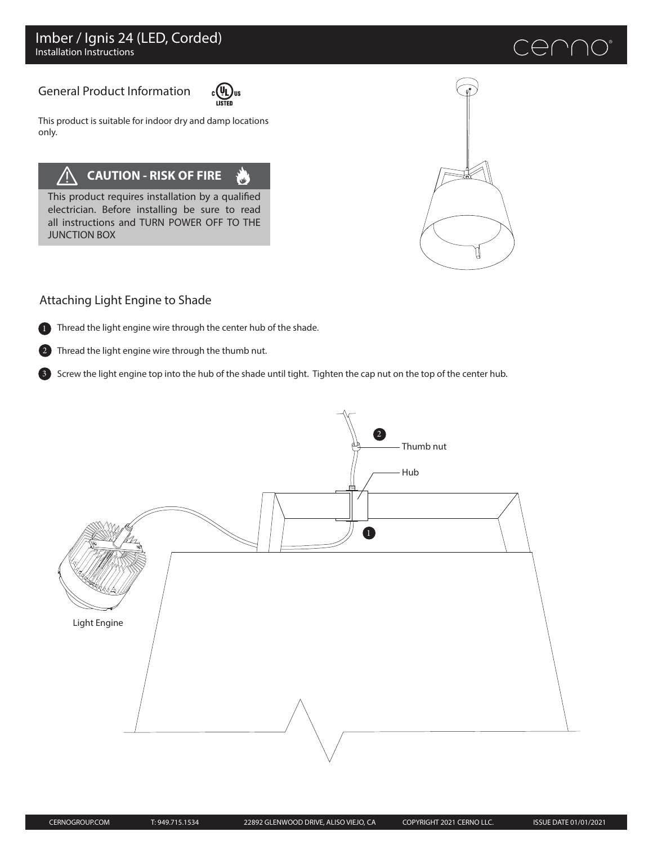# enn

# General Product Information



ا<br>است

This product is suitable for indoor dry and damp locations only.

# **CAUTION - RISK OF FIRE**

This product requires installation by a qualified electrician. Before installing be sure to read all instructions and TURN POWER OFF TO THE JUNCTION BOX



## Attaching Light Engine to Shade



3

1 Thread the light engine wire through the center hub of the shade.

Thread the light engine wire through the thumb nut. 2

Screw the light engine top into the hub of the shade until tight. Tighten the cap nut on the top of the center hub.

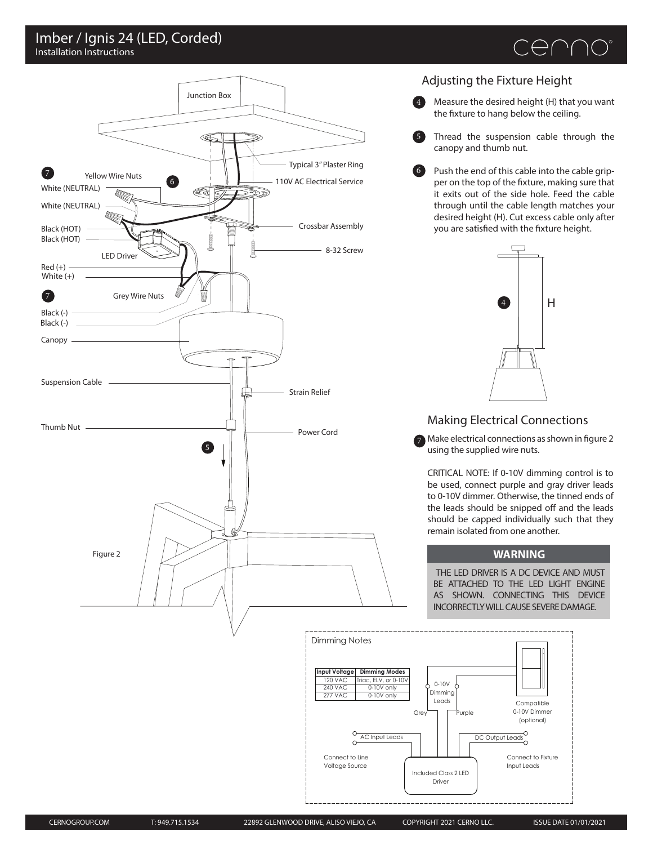### Installation Instructions Imber / Ignis 24 (LED, Corded)





#### Adjusting the Fixture Height

5

- 4 Measure the desired height (H) that you want the fixture to hang below the ceiling.
	- Thread the suspension cable through the canopy and thumb nut.
- 6 Push the end of this cable into the cable gripper on the top of the fixture, making sure that it exits out of the side hole. Feed the cable through until the cable length matches your desired height (H). Cut excess cable only after you are satisfied with the fixture height.



#### Making Electrical Connections

 $7$  Make electrical connections as shown in figure 2 using the supplied wire nuts.

CRITICAL NOTE: If 0-10V dimming control is to be used, connect purple and gray driver leads to 0-10V dimmer. Otherwise, the tinned ends of the leads should be snipped off and the leads should be capped individually such that they remain isolated from one another.

#### **WARNING**

THE LED DRIVER IS A DC DEVICE AND MUST BE ATTACHED TO THE LED LIGHT ENGINE AS SHOWN. CONNECTING THIS DEVICE INCORRECTLY WILL CAUSE SEVERE DAMAGE.